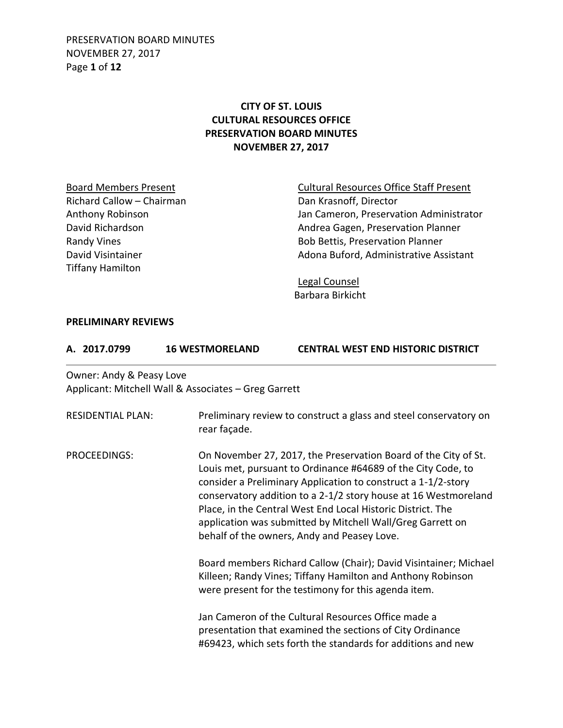PRESERVATION BOARD MINUTES NOVEMBER 27, 2017 Page **1** of **12**

## **CITY OF ST. LOUIS CULTURAL RESOURCES OFFICE PRESERVATION BOARD MINUTES NOVEMBER 27, 2017**

Richard Callow – Chairman Dan Krasnoff, Director Tiffany Hamilton

Board Members Present **Cultural Resources Office Staff Present** Anthony Robinson **Anthony Robinson** Jan Cameron, Preservation Administrator David Richardson **Andrea Gagen, Preservation Planner** Andrea Gagen, Preservation Planner Randy Vines **Bob Bettis, Preservation Planner** Bob Bettis, Preservation Planner David Visintainer **Adona Buford, Administrative Assistant** 

> Legal Counsel Barbara Birkicht

### **PRELIMINARY REVIEWS**

| <b>CENTRAL WEST END HISTORIC DISTRICT</b><br><b>16 WESTMORELAND</b><br>A. 2017.0799 |
|-------------------------------------------------------------------------------------|
|-------------------------------------------------------------------------------------|

Owner: Andy & Peasy Love Applicant: Mitchell Wall & Associates – Greg Garrett

| <b>RESIDENTIAL PLAN:</b> | Preliminary review to construct a glass and steel conservatory on<br>rear façade.                                                                                                                                                                                                                                                                                                                                                               |
|--------------------------|-------------------------------------------------------------------------------------------------------------------------------------------------------------------------------------------------------------------------------------------------------------------------------------------------------------------------------------------------------------------------------------------------------------------------------------------------|
| PROCEEDINGS:             | On November 27, 2017, the Preservation Board of the City of St.<br>Louis met, pursuant to Ordinance #64689 of the City Code, to<br>consider a Preliminary Application to construct a 1-1/2-story<br>conservatory addition to a 2-1/2 story house at 16 Westmoreland<br>Place, in the Central West End Local Historic District. The<br>application was submitted by Mitchell Wall/Greg Garrett on<br>behalf of the owners, Andy and Peasey Love. |
|                          | Board members Richard Callow (Chair); David Visintainer; Michael<br>Killeen; Randy Vines; Tiffany Hamilton and Anthony Robinson<br>were present for the testimony for this agenda item.                                                                                                                                                                                                                                                         |
|                          | Jan Cameron of the Cultural Resources Office made a<br>presentation that examined the sections of City Ordinance<br>#69423, which sets forth the standards for additions and new                                                                                                                                                                                                                                                                |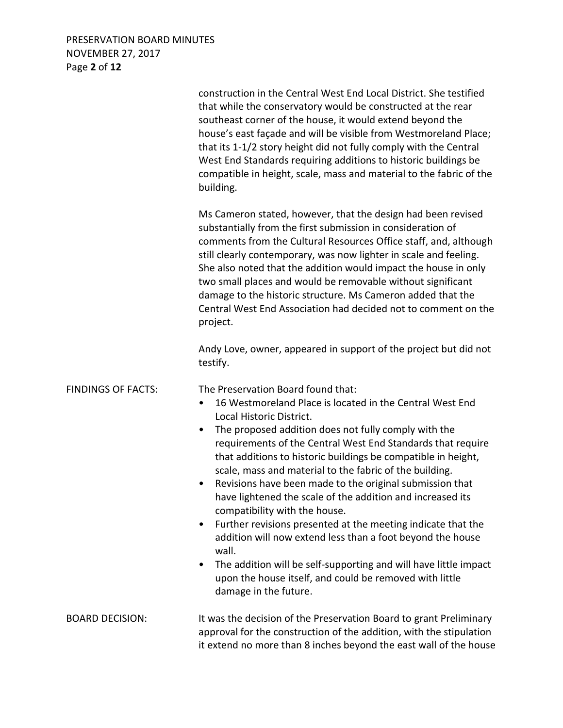# PRESERVATION BOARD MINUTES NOVEMBER 27, 2017 Page **2** of **12**

|                           | construction in the Central West End Local District. She testified<br>that while the conservatory would be constructed at the rear<br>southeast corner of the house, it would extend beyond the<br>house's east façade and will be visible from Westmoreland Place;<br>that its 1-1/2 story height did not fully comply with the Central<br>West End Standards requiring additions to historic buildings be<br>compatible in height, scale, mass and material to the fabric of the<br>building.                                                                                                                                                                                                                                                                                                                                                                                          |
|---------------------------|------------------------------------------------------------------------------------------------------------------------------------------------------------------------------------------------------------------------------------------------------------------------------------------------------------------------------------------------------------------------------------------------------------------------------------------------------------------------------------------------------------------------------------------------------------------------------------------------------------------------------------------------------------------------------------------------------------------------------------------------------------------------------------------------------------------------------------------------------------------------------------------|
|                           | Ms Cameron stated, however, that the design had been revised<br>substantially from the first submission in consideration of<br>comments from the Cultural Resources Office staff, and, although<br>still clearly contemporary, was now lighter in scale and feeling.<br>She also noted that the addition would impact the house in only<br>two small places and would be removable without significant<br>damage to the historic structure. Ms Cameron added that the<br>Central West End Association had decided not to comment on the<br>project.                                                                                                                                                                                                                                                                                                                                      |
|                           | Andy Love, owner, appeared in support of the project but did not<br>testify.                                                                                                                                                                                                                                                                                                                                                                                                                                                                                                                                                                                                                                                                                                                                                                                                             |
| <b>FINDINGS OF FACTS:</b> | The Preservation Board found that:<br>16 Westmoreland Place is located in the Central West End<br>$\bullet$<br>Local Historic District.<br>The proposed addition does not fully comply with the<br>$\bullet$<br>requirements of the Central West End Standards that require<br>that additions to historic buildings be compatible in height,<br>scale, mass and material to the fabric of the building.<br>Revisions have been made to the original submission that<br>$\bullet$<br>have lightened the scale of the addition and increased its<br>compatibility with the house.<br>Further revisions presented at the meeting indicate that the<br>٠<br>addition will now extend less than a foot beyond the house<br>wall.<br>The addition will be self-supporting and will have little impact<br>٠<br>upon the house itself, and could be removed with little<br>damage in the future. |
| <b>BOARD DECISION:</b>    | It was the decision of the Preservation Board to grant Preliminary<br>approval for the construction of the addition, with the stipulation<br>it extend no more than 8 inches beyond the east wall of the house                                                                                                                                                                                                                                                                                                                                                                                                                                                                                                                                                                                                                                                                           |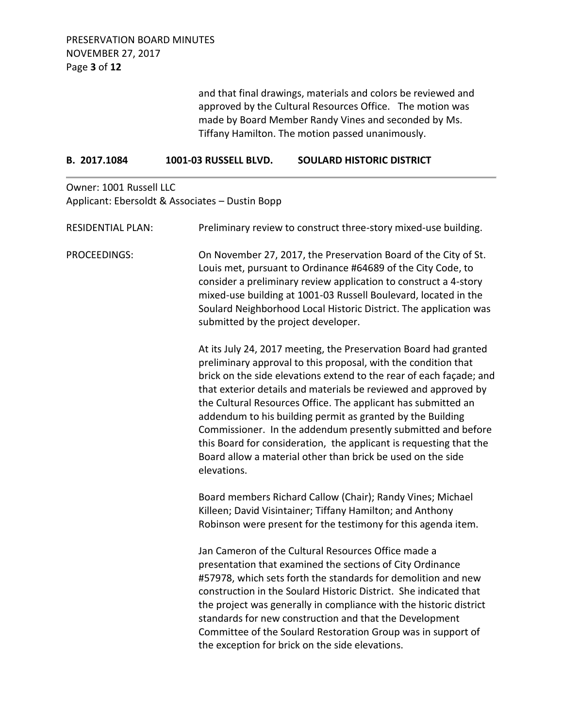and that final drawings, materials and colors be reviewed and approved by the Cultural Resources Office. The motion was made by Board Member Randy Vines and seconded by Ms. Tiffany Hamilton. The motion passed unanimously.

| 1001-03 RUSSELL BLVD.<br>B. 2017.1084 | <b>SOULARD HISTORIC DISTRICT</b> |
|---------------------------------------|----------------------------------|
|---------------------------------------|----------------------------------|

Owner: 1001 Russell LLC Applicant: Ebersoldt & Associates – Dustin Bopp

| <b>RESIDENTIAL PLAN:</b> | Preliminary review to construct three-story mixed-use building.                                                                                                                                                                                                                                                                                                                                                                                                                                                                                                                                                                 |
|--------------------------|---------------------------------------------------------------------------------------------------------------------------------------------------------------------------------------------------------------------------------------------------------------------------------------------------------------------------------------------------------------------------------------------------------------------------------------------------------------------------------------------------------------------------------------------------------------------------------------------------------------------------------|
| PROCEEDINGS:             | On November 27, 2017, the Preservation Board of the City of St.<br>Louis met, pursuant to Ordinance #64689 of the City Code, to<br>consider a preliminary review application to construct a 4-story<br>mixed-use building at 1001-03 Russell Boulevard, located in the<br>Soulard Neighborhood Local Historic District. The application was<br>submitted by the project developer.                                                                                                                                                                                                                                              |
|                          | At its July 24, 2017 meeting, the Preservation Board had granted<br>preliminary approval to this proposal, with the condition that<br>brick on the side elevations extend to the rear of each façade; and<br>that exterior details and materials be reviewed and approved by<br>the Cultural Resources Office. The applicant has submitted an<br>addendum to his building permit as granted by the Building<br>Commissioner. In the addendum presently submitted and before<br>this Board for consideration, the applicant is requesting that the<br>Board allow a material other than brick be used on the side<br>elevations. |
|                          | Board members Richard Callow (Chair); Randy Vines; Michael<br>Killeen; David Visintainer; Tiffany Hamilton; and Anthony<br>Robinson were present for the testimony for this agenda item.                                                                                                                                                                                                                                                                                                                                                                                                                                        |
|                          | Jan Cameron of the Cultural Resources Office made a<br>presentation that examined the sections of City Ordinance<br>#57978, which sets forth the standards for demolition and new<br>construction in the Soulard Historic District. She indicated that<br>the project was generally in compliance with the historic district<br>standards for new construction and that the Development<br>Committee of the Soulard Restoration Group was in support of<br>the exception for brick on the side elevations.                                                                                                                      |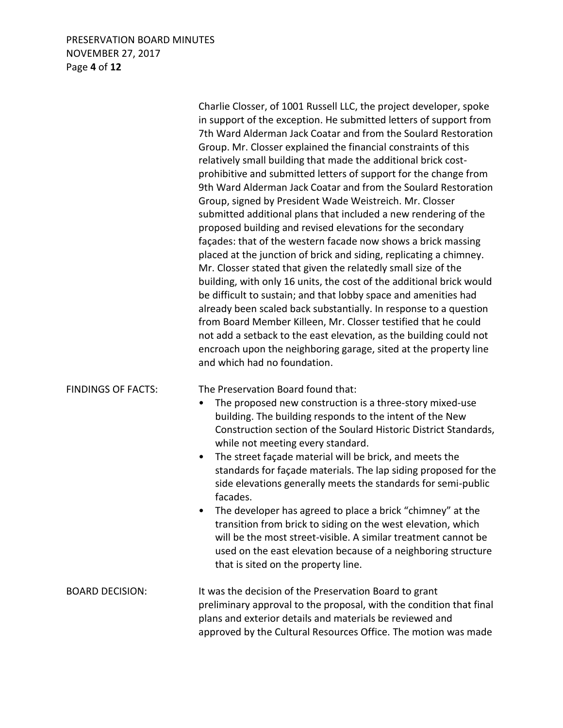## PRESERVATION BOARD MINUTES NOVEMBER 27, 2017 Page **4** of **12**

|                           | Charlie Closser, of 1001 Russell LLC, the project developer, spoke<br>in support of the exception. He submitted letters of support from<br>7th Ward Alderman Jack Coatar and from the Soulard Restoration<br>Group. Mr. Closser explained the financial constraints of this<br>relatively small building that made the additional brick cost-<br>prohibitive and submitted letters of support for the change from<br>9th Ward Alderman Jack Coatar and from the Soulard Restoration<br>Group, signed by President Wade Weistreich. Mr. Closser<br>submitted additional plans that included a new rendering of the<br>proposed building and revised elevations for the secondary<br>façades: that of the western facade now shows a brick massing<br>placed at the junction of brick and siding, replicating a chimney.<br>Mr. Closser stated that given the relatedly small size of the<br>building, with only 16 units, the cost of the additional brick would<br>be difficult to sustain; and that lobby space and amenities had<br>already been scaled back substantially. In response to a question<br>from Board Member Killeen, Mr. Closser testified that he could<br>not add a setback to the east elevation, as the building could not<br>encroach upon the neighboring garage, sited at the property line<br>and which had no foundation. |
|---------------------------|-----------------------------------------------------------------------------------------------------------------------------------------------------------------------------------------------------------------------------------------------------------------------------------------------------------------------------------------------------------------------------------------------------------------------------------------------------------------------------------------------------------------------------------------------------------------------------------------------------------------------------------------------------------------------------------------------------------------------------------------------------------------------------------------------------------------------------------------------------------------------------------------------------------------------------------------------------------------------------------------------------------------------------------------------------------------------------------------------------------------------------------------------------------------------------------------------------------------------------------------------------------------------------------------------------------------------------------------------------|
| <b>FINDINGS OF FACTS:</b> | The Preservation Board found that:<br>The proposed new construction is a three-story mixed-use<br>$\bullet$<br>building. The building responds to the intent of the New<br>Construction section of the Soulard Historic District Standards,<br>while not meeting every standard.<br>The street façade material will be brick, and meets the<br>$\bullet$<br>standards for façade materials. The lap siding proposed for the<br>side elevations generally meets the standards for semi-public<br>facades.<br>The developer has agreed to place a brick "chimney" at the<br>transition from brick to siding on the west elevation, which<br>will be the most street-visible. A similar treatment cannot be<br>used on the east elevation because of a neighboring structure<br>that is sited on the property line.                                                                                                                                                                                                                                                                                                                                                                                                                                                                                                                                    |
| <b>BOARD DECISION:</b>    | It was the decision of the Preservation Board to grant<br>preliminary approval to the proposal, with the condition that final<br>plans and exterior details and materials be reviewed and<br>approved by the Cultural Resources Office. The motion was made                                                                                                                                                                                                                                                                                                                                                                                                                                                                                                                                                                                                                                                                                                                                                                                                                                                                                                                                                                                                                                                                                         |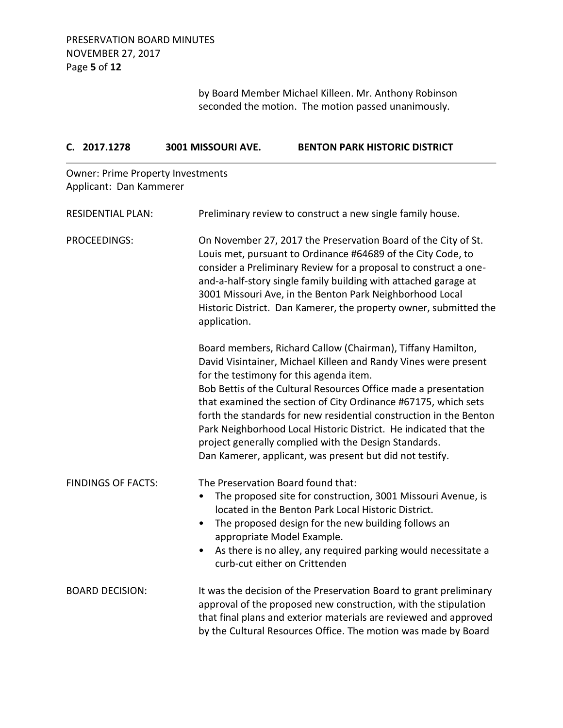by Board Member Michael Killeen. Mr. Anthony Robinson seconded the motion. The motion passed unanimously.

|              | C. 2017.1278              | 3001 MISSOURI AVE.                       | <b>BENTON PARK HISTORIC DISTRICT</b>                                                                                                                                                                                                                                                                                                                                                                                                                                                                                                                                          |
|--------------|---------------------------|------------------------------------------|-------------------------------------------------------------------------------------------------------------------------------------------------------------------------------------------------------------------------------------------------------------------------------------------------------------------------------------------------------------------------------------------------------------------------------------------------------------------------------------------------------------------------------------------------------------------------------|
|              | Applicant: Dan Kammerer   | <b>Owner: Prime Property Investments</b> |                                                                                                                                                                                                                                                                                                                                                                                                                                                                                                                                                                               |
|              | <b>RESIDENTIAL PLAN:</b>  |                                          | Preliminary review to construct a new single family house.                                                                                                                                                                                                                                                                                                                                                                                                                                                                                                                    |
| PROCEEDINGS: |                           | application.                             | On November 27, 2017 the Preservation Board of the City of St.<br>Louis met, pursuant to Ordinance #64689 of the City Code, to<br>consider a Preliminary Review for a proposal to construct a one-<br>and-a-half-story single family building with attached garage at<br>3001 Missouri Ave, in the Benton Park Neighborhood Local<br>Historic District. Dan Kamerer, the property owner, submitted the                                                                                                                                                                        |
|              |                           |                                          | Board members, Richard Callow (Chairman), Tiffany Hamilton,<br>David Visintainer, Michael Killeen and Randy Vines were present<br>for the testimony for this agenda item.<br>Bob Bettis of the Cultural Resources Office made a presentation<br>that examined the section of City Ordinance #67175, which sets<br>forth the standards for new residential construction in the Benton<br>Park Neighborhood Local Historic District. He indicated that the<br>project generally complied with the Design Standards.<br>Dan Kamerer, applicant, was present but did not testify. |
|              | <b>FINDINGS OF FACTS:</b> | ٠<br>$\bullet$                           | The Preservation Board found that:<br>The proposed site for construction, 3001 Missouri Avenue, is<br>located in the Benton Park Local Historic District.<br>The proposed design for the new building follows an<br>appropriate Model Example.<br>As there is no alley, any required parking would necessitate a<br>curb-cut either on Crittenden                                                                                                                                                                                                                             |
|              | <b>BOARD DECISION:</b>    |                                          | It was the decision of the Preservation Board to grant preliminary<br>approval of the proposed new construction, with the stipulation<br>that final plans and exterior materials are reviewed and approved<br>by the Cultural Resources Office. The motion was made by Board                                                                                                                                                                                                                                                                                                  |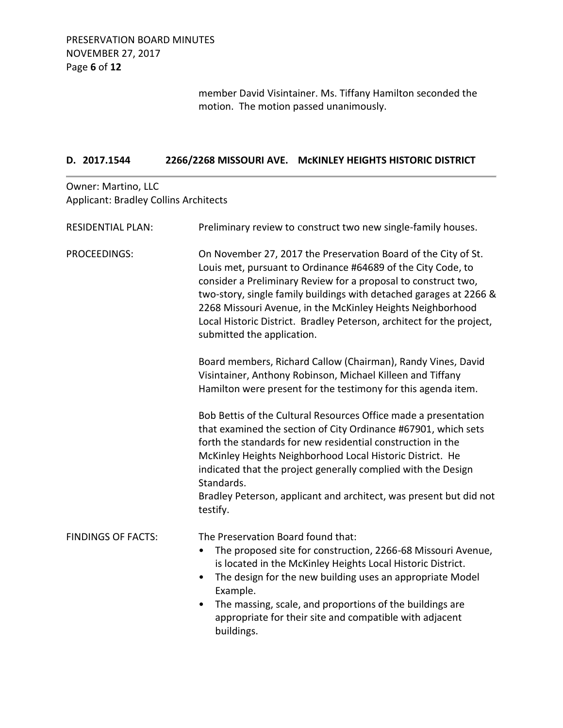member David Visintainer. Ms. Tiffany Hamilton seconded the motion. The motion passed unanimously.

### **D. 2017.1544 2266/2268 MISSOURI AVE. McKINLEY HEIGHTS HISTORIC DISTRICT**

Owner: Martino, LLC Applicant: Bradley Collins Architects

| <b>RESIDENTIAL PLAN:</b>  | Preliminary review to construct two new single-family houses.                                                                                                                                                                                                                                                                                                                                                                               |
|---------------------------|---------------------------------------------------------------------------------------------------------------------------------------------------------------------------------------------------------------------------------------------------------------------------------------------------------------------------------------------------------------------------------------------------------------------------------------------|
| <b>PROCEEDINGS:</b>       | On November 27, 2017 the Preservation Board of the City of St.<br>Louis met, pursuant to Ordinance #64689 of the City Code, to<br>consider a Preliminary Review for a proposal to construct two,<br>two-story, single family buildings with detached garages at 2266 &<br>2268 Missouri Avenue, in the McKinley Heights Neighborhood<br>Local Historic District. Bradley Peterson, architect for the project,<br>submitted the application. |
|                           | Board members, Richard Callow (Chairman), Randy Vines, David<br>Visintainer, Anthony Robinson, Michael Killeen and Tiffany<br>Hamilton were present for the testimony for this agenda item.                                                                                                                                                                                                                                                 |
|                           | Bob Bettis of the Cultural Resources Office made a presentation<br>that examined the section of City Ordinance #67901, which sets<br>forth the standards for new residential construction in the<br>McKinley Heights Neighborhood Local Historic District. He<br>indicated that the project generally complied with the Design<br>Standards.<br>Bradley Peterson, applicant and architect, was present but did not<br>testify.              |
| <b>FINDINGS OF FACTS:</b> | The Preservation Board found that:<br>The proposed site for construction, 2266-68 Missouri Avenue,<br>٠<br>is located in the McKinley Heights Local Historic District.<br>The design for the new building uses an appropriate Model<br>$\bullet$<br>Example.<br>The massing, scale, and proportions of the buildings are<br>$\bullet$<br>appropriate for their site and compatible with adjacent<br>buildings.                              |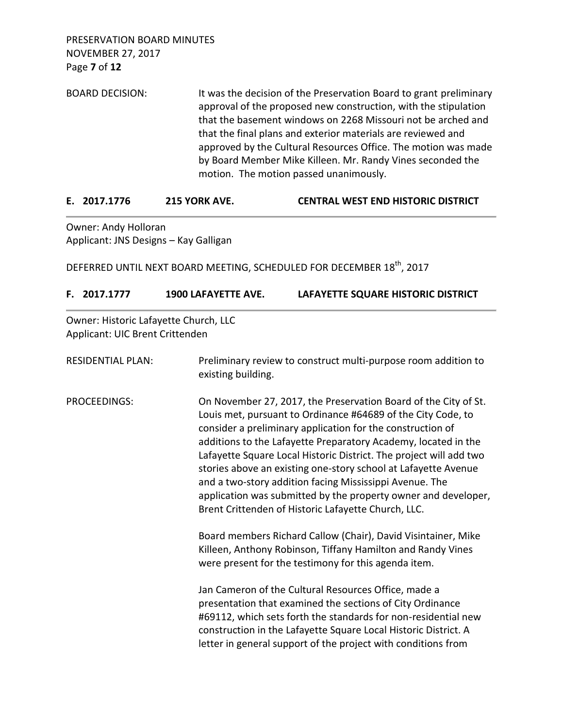| <b>BOARD DECISION:</b> | It was the decision of the Preservation Board to grant preliminary |
|------------------------|--------------------------------------------------------------------|
|                        | approval of the proposed new construction, with the stipulation    |
|                        | that the basement windows on 2268 Missouri not be arched and       |
|                        | that the final plans and exterior materials are reviewed and       |
|                        | approved by the Cultural Resources Office. The motion was made     |
|                        | by Board Member Mike Killeen. Mr. Randy Vines seconded the         |
|                        | motion. The motion passed unanimously.                             |

| 215 YORK AVE.<br>E. 2017.1776 | <b>CENTRAL WEST END HISTORIC DISTRICT</b> |
|-------------------------------|-------------------------------------------|
|-------------------------------|-------------------------------------------|

Owner: Andy Holloran Applicant: JNS Designs – Kay Galligan

DEFERRED UNTIL NEXT BOARD MEETING, SCHEDULED FOR DECEMBER 18<sup>th</sup>, 2017

| Owner: Historic Lafayette Church, LLC<br>Applicant: UIC Brent Crittenden |                                                                                      |                                                                                                                                                                                                                                                                                                                                                                                                                                                                                                                                                                                             |
|--------------------------------------------------------------------------|--------------------------------------------------------------------------------------|---------------------------------------------------------------------------------------------------------------------------------------------------------------------------------------------------------------------------------------------------------------------------------------------------------------------------------------------------------------------------------------------------------------------------------------------------------------------------------------------------------------------------------------------------------------------------------------------|
| <b>RESIDENTIAL PLAN:</b>                                                 | Preliminary review to construct multi-purpose room addition to<br>existing building. |                                                                                                                                                                                                                                                                                                                                                                                                                                                                                                                                                                                             |
| PROCEEDINGS:                                                             |                                                                                      | On November 27, 2017, the Preservation Board of the City of St.<br>Louis met, pursuant to Ordinance #64689 of the City Code, to<br>consider a preliminary application for the construction of<br>additions to the Lafayette Preparatory Academy, located in the<br>Lafayette Square Local Historic District. The project will add two<br>stories above an existing one-story school at Lafayette Avenue<br>and a two-story addition facing Mississippi Avenue. The<br>application was submitted by the property owner and developer,<br>Brent Crittenden of Historic Lafayette Church, LLC. |

Board members Richard Callow (Chair), David Visintainer, Mike Killeen, Anthony Robinson, Tiffany Hamilton and Randy Vines were present for the testimony for this agenda item.

Jan Cameron of the Cultural Resources Office, made a presentation that examined the sections of City Ordinance #69112, which sets forth the standards for non-residential new construction in the Lafayette Square Local Historic District. A letter in general support of the project with conditions from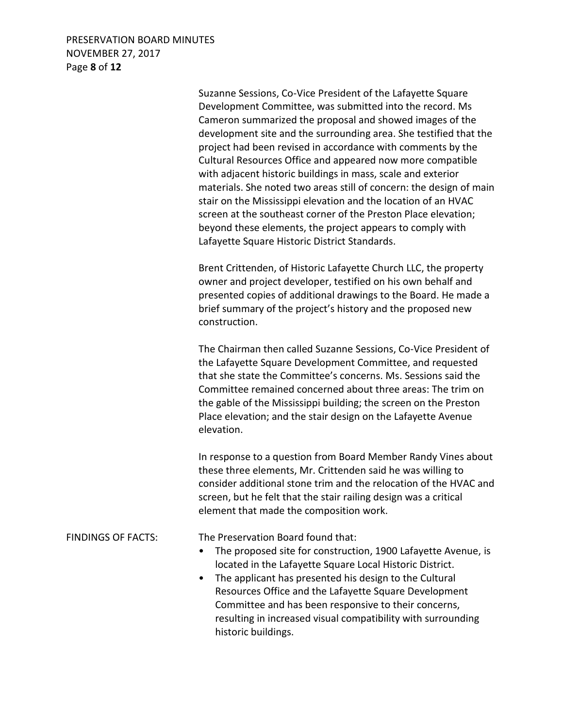### PRESERVATION BOARD MINUTES NOVEMBER 27, 2017 Page **8** of **12**

Suzanne Sessions, Co-Vice President of the Lafayette Square Development Committee, was submitted into the record. Ms Cameron summarized the proposal and showed images of the development site and the surrounding area. She testified that the project had been revised in accordance with comments by the Cultural Resources Office and appeared now more compatible with adjacent historic buildings in mass, scale and exterior materials. She noted two areas still of concern: the design of main stair on the Mississippi elevation and the location of an HVAC screen at the southeast corner of the Preston Place elevation; beyond these elements, the project appears to comply with Lafayette Square Historic District Standards.

Brent Crittenden, of Historic Lafayette Church LLC, the property owner and project developer, testified on his own behalf and presented copies of additional drawings to the Board. He made a brief summary of the project's history and the proposed new construction.

The Chairman then called Suzanne Sessions, Co-Vice President of the Lafayette Square Development Committee, and requested that she state the Committee's concerns. Ms. Sessions said the Committee remained concerned about three areas: The trim on the gable of the Mississippi building; the screen on the Preston Place elevation; and the stair design on the Lafayette Avenue elevation.

In response to a question from Board Member Randy Vines about these three elements, Mr. Crittenden said he was willing to consider additional stone trim and the relocation of the HVAC and screen, but he felt that the stair railing design was a critical element that made the composition work.

FINDINGS OF FACTS: The Preservation Board found that:

- The proposed site for construction, 1900 Lafayette Avenue, is located in the Lafayette Square Local Historic District.
- The applicant has presented his design to the Cultural Resources Office and the Lafayette Square Development Committee and has been responsive to their concerns, resulting in increased visual compatibility with surrounding historic buildings.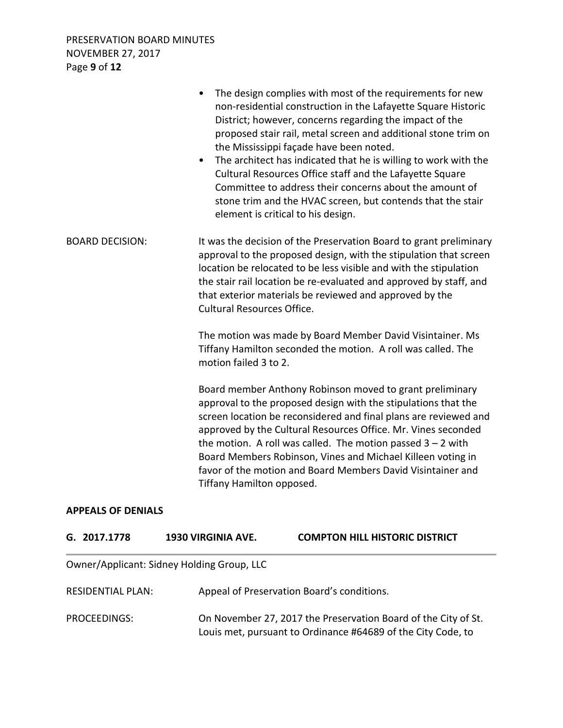PRESERVATION BOARD MINUTES NOVEMBER 27, 2017 Page **9** of **12**

|                        | The design complies with most of the requirements for new<br>$\bullet$<br>non-residential construction in the Lafayette Square Historic<br>District; however, concerns regarding the impact of the<br>proposed stair rail, metal screen and additional stone trim on<br>the Mississippi façade have been noted.<br>The architect has indicated that he is willing to work with the<br>$\bullet$<br>Cultural Resources Office staff and the Lafayette Square<br>Committee to address their concerns about the amount of<br>stone trim and the HVAC screen, but contends that the stair<br>element is critical to his design. |
|------------------------|-----------------------------------------------------------------------------------------------------------------------------------------------------------------------------------------------------------------------------------------------------------------------------------------------------------------------------------------------------------------------------------------------------------------------------------------------------------------------------------------------------------------------------------------------------------------------------------------------------------------------------|
| <b>BOARD DECISION:</b> | It was the decision of the Preservation Board to grant preliminary<br>approval to the proposed design, with the stipulation that screen<br>location be relocated to be less visible and with the stipulation<br>the stair rail location be re-evaluated and approved by staff, and<br>that exterior materials be reviewed and approved by the<br><b>Cultural Resources Office.</b>                                                                                                                                                                                                                                          |
|                        | The motion was made by Board Member David Visintainer. Ms<br>Tiffany Hamilton seconded the motion. A roll was called. The<br>motion failed 3 to 2.                                                                                                                                                                                                                                                                                                                                                                                                                                                                          |
|                        | Board member Anthony Robinson moved to grant preliminary<br>approval to the proposed design with the stipulations that the<br>screen location be reconsidered and final plans are reviewed and<br>approved by the Cultural Resources Office. Mr. Vines seconded<br>the motion. A roll was called. The motion passed $3 - 2$ with<br>Board Members Robinson, Vines and Michael Killeen voting in<br>favor of the motion and Board Members David Visintainer and<br>Tiffany Hamilton opposed.                                                                                                                                 |

### **APPEALS OF DENIALS**

| G. 2017.1778 | <b>1930 VIRGINIA AVE.</b> | <b>COMPTON HILL HISTORIC DISTRICT</b> |
|--------------|---------------------------|---------------------------------------|
|              |                           |                                       |

Owner/Applicant: Sidney Holding Group, LLC

| RESIDENTIAL PLAN: | Appeal of Preservation Board's conditions.                                                                                     |
|-------------------|--------------------------------------------------------------------------------------------------------------------------------|
| PROCEEDINGS:      | On November 27, 2017 the Preservation Board of the City of St.<br>Louis met, pursuant to Ordinance #64689 of the City Code, to |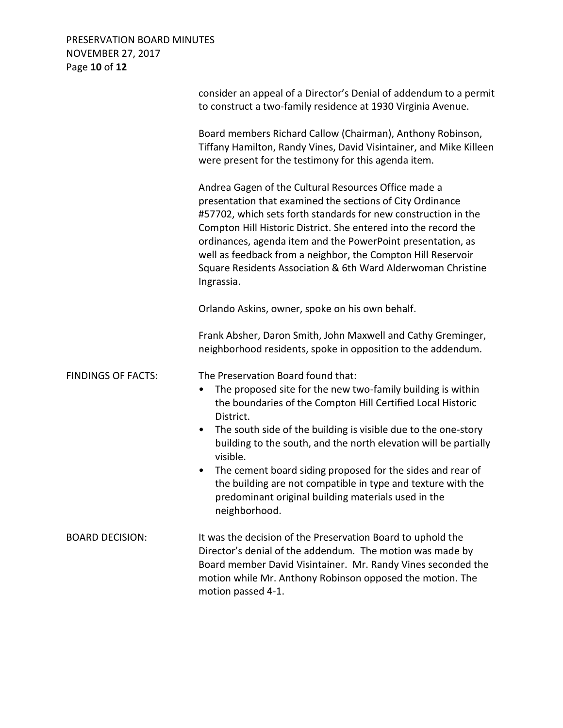# PRESERVATION BOARD MINUTES NOVEMBER 27, 2017 Page **10** of **12**

|                           | consider an appeal of a Director's Denial of addendum to a permit<br>to construct a two-family residence at 1930 Virginia Avenue.                                                                                                                                                                                                                                                                                                                                   |
|---------------------------|---------------------------------------------------------------------------------------------------------------------------------------------------------------------------------------------------------------------------------------------------------------------------------------------------------------------------------------------------------------------------------------------------------------------------------------------------------------------|
|                           | Board members Richard Callow (Chairman), Anthony Robinson,<br>Tiffany Hamilton, Randy Vines, David Visintainer, and Mike Killeen<br>were present for the testimony for this agenda item.                                                                                                                                                                                                                                                                            |
|                           | Andrea Gagen of the Cultural Resources Office made a<br>presentation that examined the sections of City Ordinance<br>#57702, which sets forth standards for new construction in the<br>Compton Hill Historic District. She entered into the record the<br>ordinances, agenda item and the PowerPoint presentation, as<br>well as feedback from a neighbor, the Compton Hill Reservoir<br>Square Residents Association & 6th Ward Alderwoman Christine<br>Ingrassia. |
|                           | Orlando Askins, owner, spoke on his own behalf.                                                                                                                                                                                                                                                                                                                                                                                                                     |
|                           | Frank Absher, Daron Smith, John Maxwell and Cathy Greminger,<br>neighborhood residents, spoke in opposition to the addendum.                                                                                                                                                                                                                                                                                                                                        |
| <b>FINDINGS OF FACTS:</b> | The Preservation Board found that:<br>The proposed site for the new two-family building is within<br>$\bullet$<br>the boundaries of the Compton Hill Certified Local Historic<br>District.<br>The south side of the building is visible due to the one-story<br>$\bullet$<br>building to the south, and the north elevation will be partially<br>visible.                                                                                                           |
|                           | The cement board siding proposed for the sides and rear of<br>٠<br>the building are not compatible in type and texture with the<br>predominant original building materials used in the<br>neighborhood.                                                                                                                                                                                                                                                             |
| <b>BOARD DECISION:</b>    | It was the decision of the Preservation Board to uphold the<br>Director's denial of the addendum. The motion was made by<br>Board member David Visintainer. Mr. Randy Vines seconded the<br>motion while Mr. Anthony Robinson opposed the motion. The<br>motion passed 4-1.                                                                                                                                                                                         |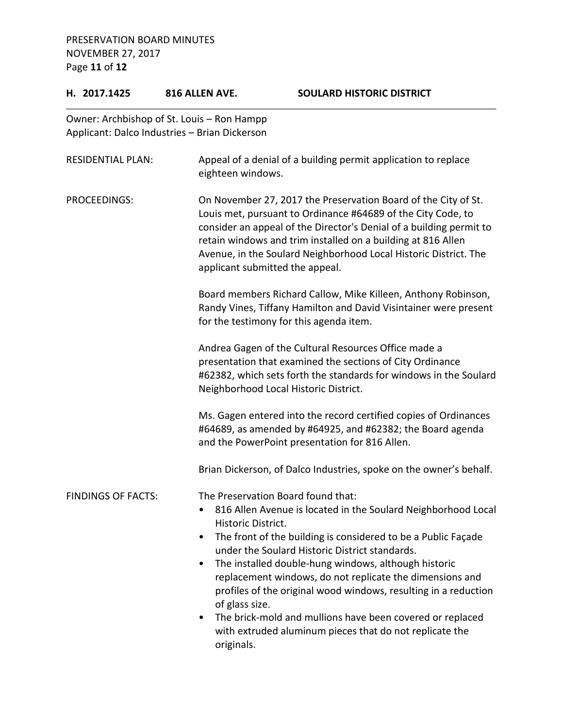PRESERVATION BOARD MINUTES NOVEMBER 27, 2017 Page **11** of **12**

# **H. 2017.1425 816 ALLEN AVE. SOULARD HISTORIC DISTRICT** Owner: Archbishop of St. Louis – Ron Hampp Applicant: Dalco Industries – Brian Dickerson RESIDENTIAL PLAN: Appeal of a denial of a building permit application to replace eighteen windows. PROCEEDINGS: On November 27, 2017 the Preservation Board of the City of St. Louis met, pursuant to Ordinance #64689 of the City Code, to consider an appeal of the Director's Denial of a building permit to retain windows and trim installed on a building at 816 Allen Avenue, in the Soulard Neighborhood Local Historic District. The applicant submitted the appeal. Board members Richard Callow, Mike Killeen, Anthony Robinson, Randy Vines, Tiffany Hamilton and David Visintainer were present for the testimony for this agenda item. Andrea Gagen of the Cultural Resources Office made a presentation that examined the sections of City Ordinance #62382, which sets forth the standards for windows in the Soulard Neighborhood Local Historic District. Ms. Gagen entered into the record certified copies of Ordinances #64689, as amended by #64925, and #62382; the Board agenda and the PowerPoint presentation for 816 Allen. Brian Dickerson, of Dalco Industries, spoke on the owner's behalf. FINDINGS OF FACTS: The Preservation Board found that: • 816 Allen Avenue is located in the Soulard Neighborhood Local Historic District. • The front of the building is considered to be a Public Façade under the Soulard Historic District standards. • The installed double-hung windows, although historic replacement windows, do not replicate the dimensions and profiles of the original wood windows, resulting in a reduction of glass size. • The brick-mold and mullions have been covered or replaced

with extruded aluminum pieces that do not replicate the originals.